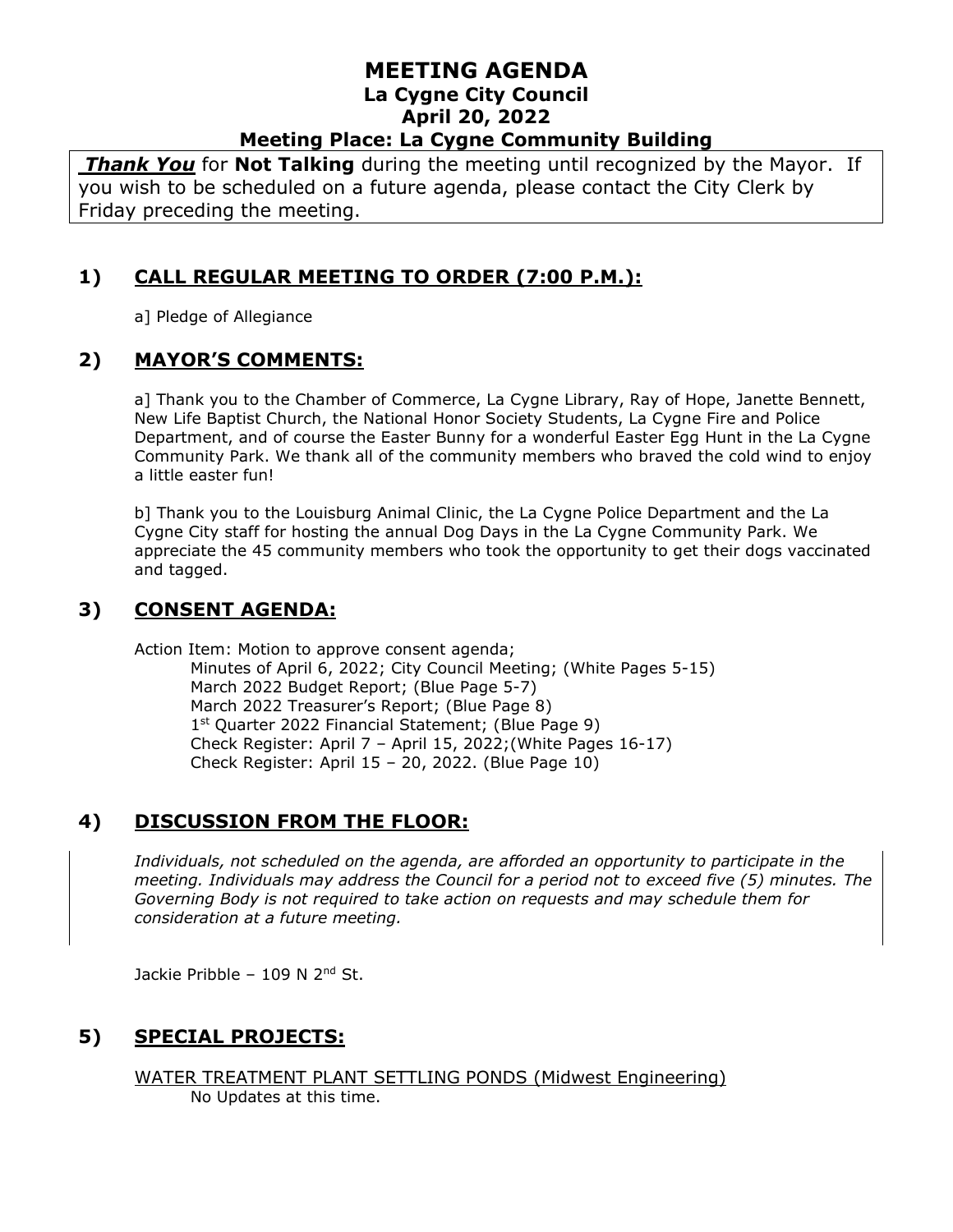*Thank You* for **Not Talking** during the meeting until recognized by the Mayor. If you wish to be scheduled on a future agenda, please contact the City Clerk by Friday preceding the meeting.

# **1) CALL REGULAR MEETING TO ORDER (7:00 P.M.):**

a] Pledge of Allegiance

### **2) MAYOR'S COMMENTS:**

a] Thank you to the Chamber of Commerce, La Cygne Library, Ray of Hope, Janette Bennett, New Life Baptist Church, the National Honor Society Students, La Cygne Fire and Police Department, and of course the Easter Bunny for a wonderful Easter Egg Hunt in the La Cygne Community Park. We thank all of the community members who braved the cold wind to enjoy a little easter fun!

b] Thank you to the Louisburg Animal Clinic, the La Cygne Police Department and the La Cygne City staff for hosting the annual Dog Days in the La Cygne Community Park. We appreciate the 45 community members who took the opportunity to get their dogs vaccinated and tagged.

# **3) CONSENT AGENDA:**

Action Item: Motion to approve consent agenda; Minutes of April 6, 2022; City Council Meeting; (White Pages 5-15)

March 2022 Budget Report; (Blue Page 5-7) March 2022 Treasurer's Report; (Blue Page 8) 1<sup>st</sup> Quarter 2022 Financial Statement; (Blue Page 9) Check Register: April 7 – April 15, 2022;(White Pages 16-17) Check Register: April 15 – 20, 2022. (Blue Page 10)

# **4) DISCUSSION FROM THE FLOOR:**

*Individuals, not scheduled on the agenda, are afforded an opportunity to participate in the meeting. Individuals may address the Council for a period not to exceed five (5) minutes. The Governing Body is not required to take action on requests and may schedule them for consideration at a future meeting.* 

Jackie Pribble – 109 N  $2<sup>nd</sup>$  St.

# **5) SPECIAL PROJECTS:**

WATER TREATMENT PLANT SETTLING PONDS (Midwest Engineering) No Updates at this time.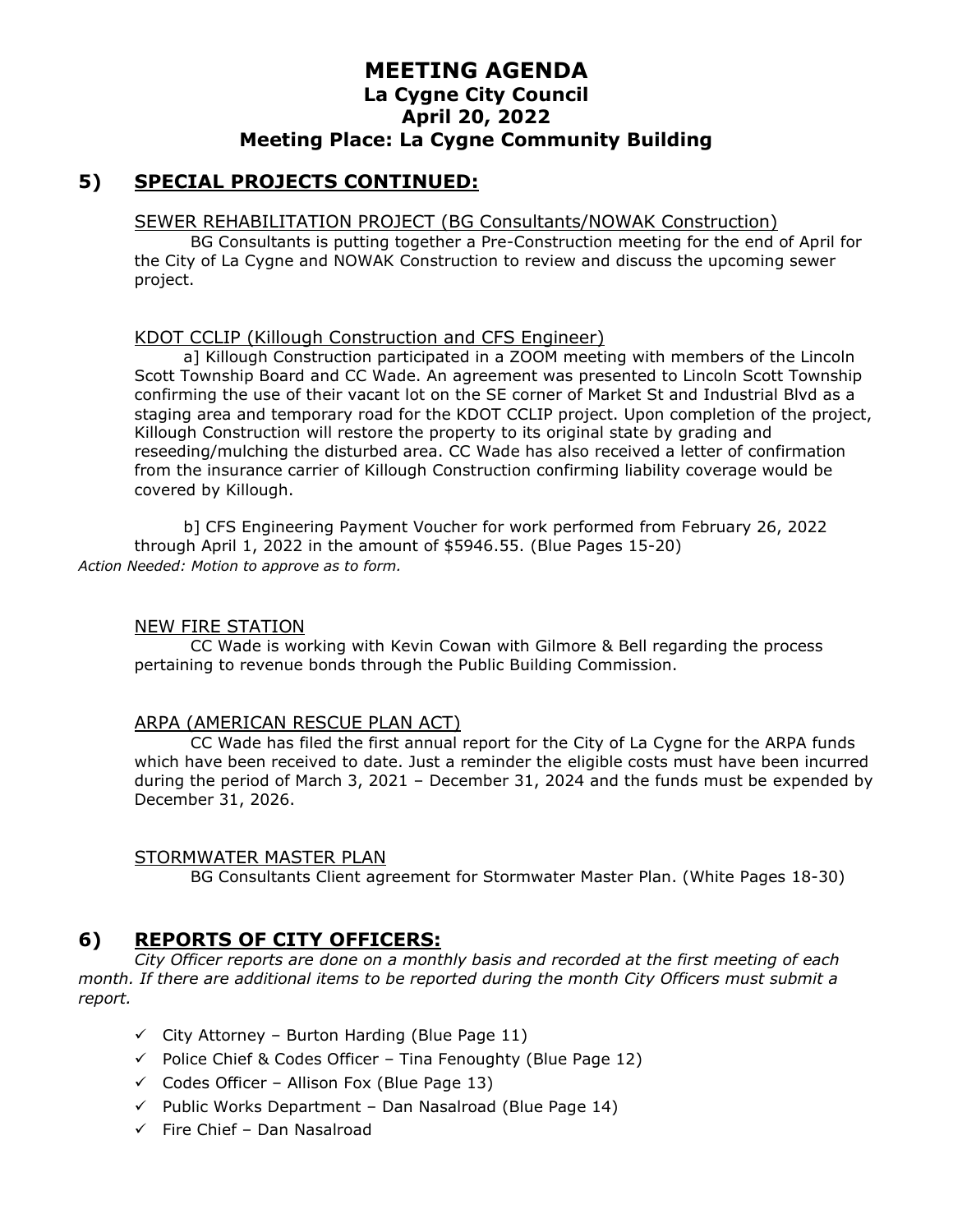#### **5) SPECIAL PROJECTS CONTINUED:**

#### SEWER REHABILITATION PROJECT (BG Consultants/NOWAK Construction)

BG Consultants is putting together a Pre-Construction meeting for the end of April for the City of La Cygne and NOWAK Construction to review and discuss the upcoming sewer project.

#### KDOT CCLIP (Killough Construction and CFS Engineer)

a] Killough Construction participated in a ZOOM meeting with members of the Lincoln Scott Township Board and CC Wade. An agreement was presented to Lincoln Scott Township confirming the use of their vacant lot on the SE corner of Market St and Industrial Blvd as a staging area and temporary road for the KDOT CCLIP project. Upon completion of the project, Killough Construction will restore the property to its original state by grading and reseeding/mulching the disturbed area. CC Wade has also received a letter of confirmation from the insurance carrier of Killough Construction confirming liability coverage would be covered by Killough.

b] CFS Engineering Payment Voucher for work performed from February 26, 2022 through April 1, 2022 in the amount of \$5946.55. (Blue Pages 15-20) *Action Needed: Motion to approve as to form.*

#### NEW FIRE STATION

CC Wade is working with Kevin Cowan with Gilmore & Bell regarding the process pertaining to revenue bonds through the Public Building Commission.

#### ARPA (AMERICAN RESCUE PLAN ACT)

CC Wade has filed the first annual report for the City of La Cygne for the ARPA funds which have been received to date. Just a reminder the eligible costs must have been incurred during the period of March 3, 2021 – December 31, 2024 and the funds must be expended by December 31, 2026.

#### STORMWATER MASTER PLAN

BG Consultants Client agreement for Stormwater Master Plan. (White Pages 18-30)

### **6) REPORTS OF CITY OFFICERS:**

*City Officer reports are done on a monthly basis and recorded at the first meeting of each month. If there are additional items to be reported during the month City Officers must submit a report.*

- $\checkmark$  City Attorney Burton Harding (Blue Page 11)
- $\checkmark$  Police Chief & Codes Officer Tina Fenoughty (Blue Page 12)
- $\checkmark$  Codes Officer Allison Fox (Blue Page 13)
- $\checkmark$  Public Works Department Dan Nasalroad (Blue Page 14)
- ✓ Fire Chief Dan Nasalroad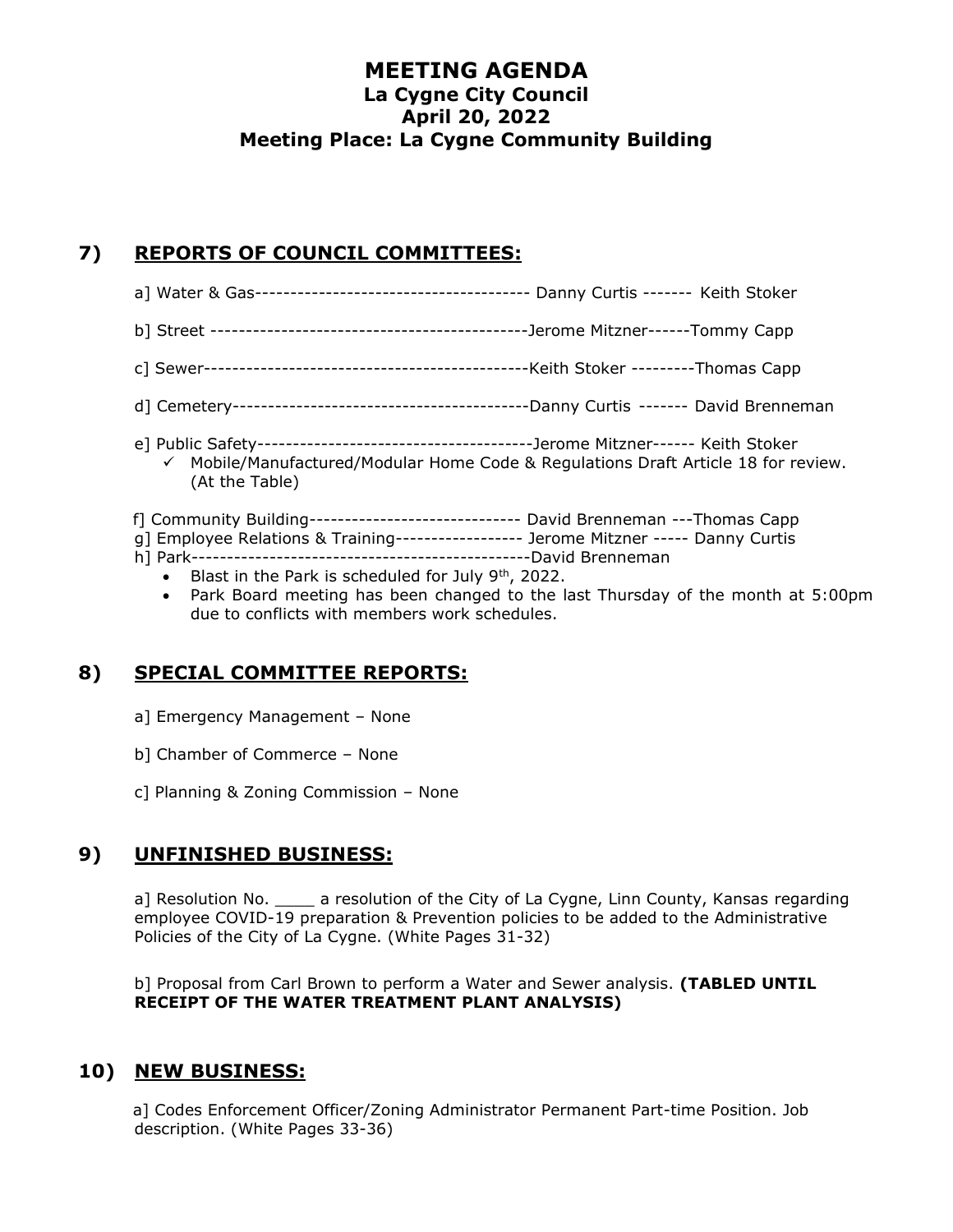# **7) REPORTS OF COUNCIL COMMITTEES:**

- a] Water & Gas--------------------------------------- Danny Curtis ------- Keith Stoker
- b] Street ---------------------------------------------Jerome Mitzner------Tommy Capp
- c] Sewer----------------------------------------------Keith Stoker ---------Thomas Capp
- d] Cemetery------------------------------------------Danny Curtis ------- David Brenneman
- e] Public Safety---------------------------------------Jerome Mitzner------ Keith Stoker  $\checkmark$  Mobile/Manufactured/Modular Home Code & Regulations Draft Article 18 for review. (At the Table)
- f] Community Building------------------------------ David Brenneman ---Thomas Capp
- g] Employee Relations & Training------------------ Jerome Mitzner ----- Danny Curtis
- h] Park------------------------------------------------David Brenneman
	- Blast in the Park is scheduled for July 9<sup>th</sup>, 2022.
	- Park Board meeting has been changed to the last Thursday of the month at 5:00pm due to conflicts with members work schedules.

# **8) SPECIAL COMMITTEE REPORTS:**

- a] Emergency Management None
- b] Chamber of Commerce None
- c] Planning & Zoning Commission None

# **9) UNFINISHED BUSINESS:**

a] Resolution No. <br>a resolution No. a resolution of the City of La Cygne, Linn County, Kansas regarding employee COVID-19 preparation & Prevention policies to be added to the Administrative Policies of the City of La Cygne. (White Pages 31-32)

b] Proposal from Carl Brown to perform a Water and Sewer analysis. **(TABLED UNTIL RECEIPT OF THE WATER TREATMENT PLANT ANALYSIS)**

# **10) NEW BUSINESS:**

a] Codes Enforcement Officer/Zoning Administrator Permanent Part-time Position. Job description. (White Pages 33-36)